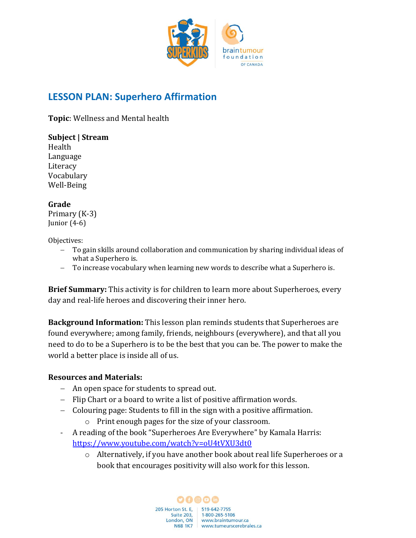

## **LESSON PLAN: Superhero Affirmation**

**Topic**: Wellness and Mental health

**Subject | Stream**  Health Language **Literacy** Vocabulary Well-Being

## **Grade**

Primary (K-3) Junior (4-6)

Objectives:

- To gain skills around collaboration and communication by sharing individual ideas of what a Superhero is.
- − To increase vocabulary when learning new words to describe what a Superhero is.

**Brief Summary:** This activity is for children to learn more about Superheroes, every day and real-life heroes and discovering their inner hero.

**Background Information:** This lesson plan reminds students that Superheroes are found everywhere; among family, friends, neighbours (everywhere), and that all you need to do to be a Superhero is to be the best that you can be. The power to make the world a better place is inside all of us.

## **Resources and Materials:**

- − An open space for students to spread out.
- − Flip Chart or a board to write a list of positive affirmation words.
- − Colouring page: Students to fill in the sign with a positive affirmation.
	- o Print enough pages for the size of your classroom.
- A reading of the book "Superheroes Are Everywhere" by Kamala Harris: <https://www.youtube.com/watch?v=oU4tVXU3dt0>
	- o Alternatively, if you have another book about real life Superheroes or a book that encourages positivity will also work for this lesson.